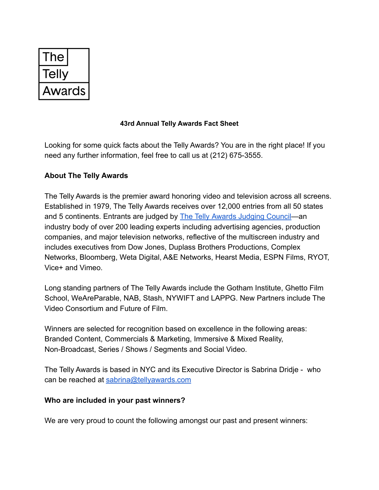| l he   |
|--------|
| Геlly  |
| Awards |

## **43rd Annual Telly Awards Fact Sheet**

Looking for some quick facts about the Telly Awards? You are in the right place! If you need any further information, feel free to call us at (212) 675-3555.

## **About The Telly Awards**

The Telly Awards is the premier award honoring video and television across all screens. Established in 1979, The Telly Awards receives over 12,000 entries from all 50 states and 5 continents. Entrants are judged by **The Telly [Awards Judging Council—](http://www.tellyawards.com/judges/)an** industry body of over 200 leading experts including advertising agencies, production companies, and major television networks, reflective of the multiscreen industry and includes executives from Dow Jones, Duplass Brothers Productions, Complex Networks, Bloomberg, Weta Digital, A&E Networks, Hearst Media, ESPN Films, RYOT, Vice+ and Vimeo.

Long standing partners of The Telly Awards include the Gotham Institute, Ghetto Film School, WeAreParable, NAB, Stash, NYWIFT and LAPPG. New Partners include The Video Consortium and Future of Film.

Winners are selected for recognition based on excellence in the following areas: Branded Content, Commercials & Marketing, Immersive & Mixed Reality, Non-Broadcast, Series / Shows / Segments and Social Video.

The Telly Awards is based in NYC and its Executive Director is Sabrina Dridje - who can be reached at [sabrina@tellyawards.com](mailto:sabrina@tellyawards.com)

## **Who are included in your past winners?**

We are very proud to count the following amongst our past and present winners: